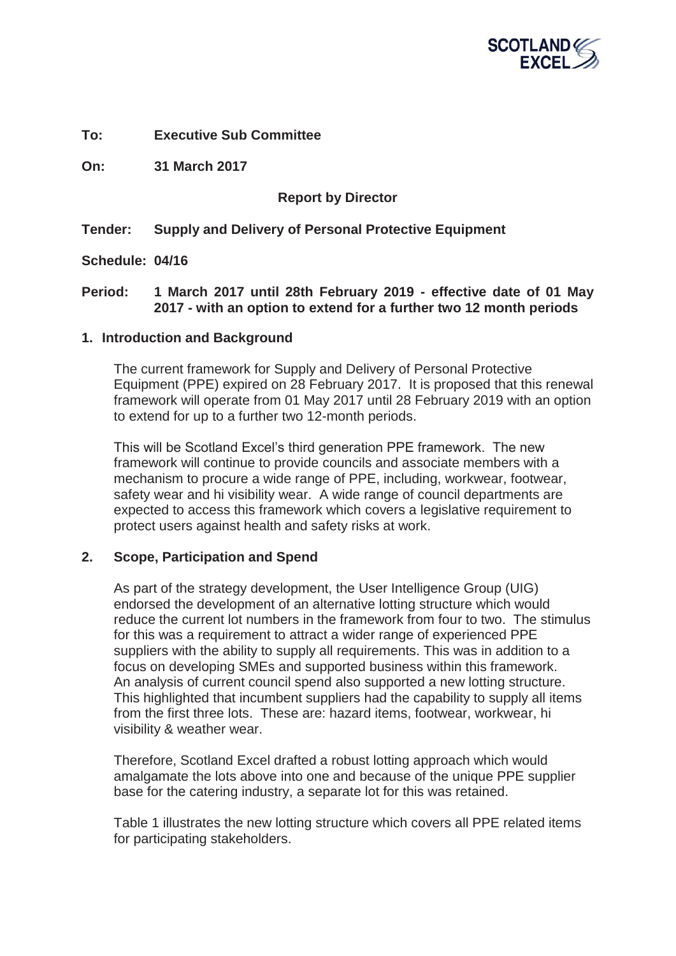

**To: Executive Sub Committee** 

**On: 31 March 2017** 

## **Report by Director**

## **Tender: Supply and Delivery of Personal Protective Equipment**

**Schedule: 04/16** 

## **Period: 1 March 2017 until 28th February 2019 - effective date of 01 May 2017 - with an option to extend for a further two 12 month periods**

#### **1. Introduction and Background**

The current framework for Supply and Delivery of Personal Protective Equipment (PPE) expired on 28 February 2017. It is proposed that this renewal framework will operate from 01 May 2017 until 28 February 2019 with an option to extend for up to a further two 12-month periods.

This will be Scotland Excel's third generation PPE framework. The new framework will continue to provide councils and associate members with a mechanism to procure a wide range of PPE, including, workwear, footwear, safety wear and hi visibility wear. A wide range of council departments are expected to access this framework which covers a legislative requirement to protect users against health and safety risks at work.

## **2. Scope, Participation and Spend**

As part of the strategy development, the User Intelligence Group (UIG) endorsed the development of an alternative lotting structure which would reduce the current lot numbers in the framework from four to two. The stimulus for this was a requirement to attract a wider range of experienced PPE suppliers with the ability to supply all requirements. This was in addition to a focus on developing SMEs and supported business within this framework. An analysis of current council spend also supported a new lotting structure. This highlighted that incumbent suppliers had the capability to supply all items from the first three lots. These are: hazard items, footwear, workwear, hi visibility & weather wear.

Therefore, Scotland Excel drafted a robust lotting approach which would amalgamate the lots above into one and because of the unique PPE supplier base for the catering industry, a separate lot for this was retained.

Table 1 illustrates the new lotting structure which covers all PPE related items for participating stakeholders.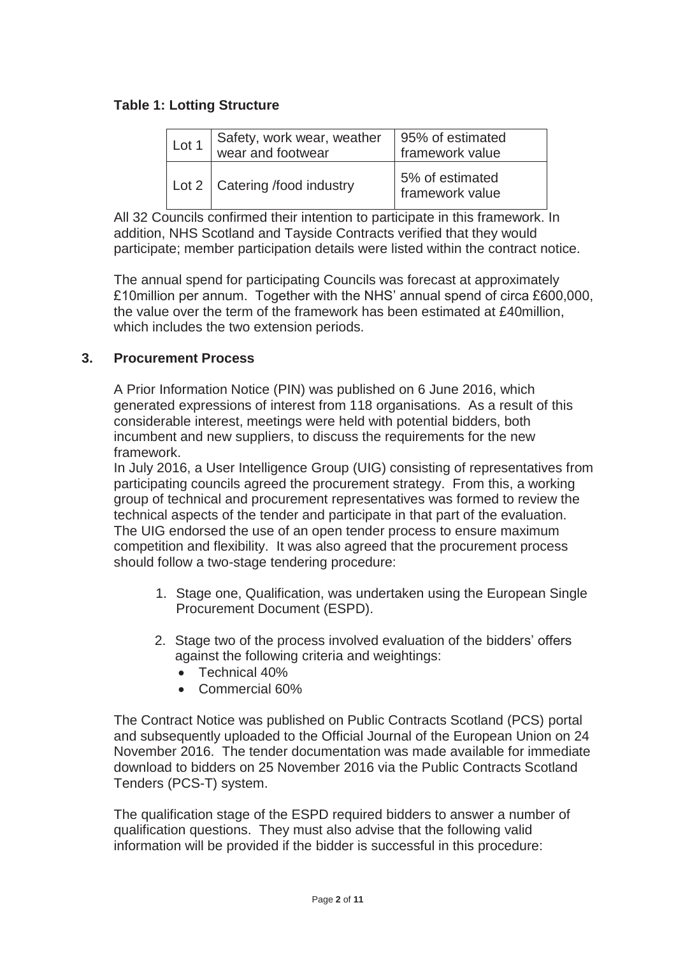## **Table 1: Lotting Structure**

| Lot 1 | Safety, work wear, weather<br>wear and footwear | 95% of estimated<br>framework value  |
|-------|-------------------------------------------------|--------------------------------------|
|       | Lot 2   Catering /food industry                 | 5% of estimated<br>I framework value |

All 32 Councils confirmed their intention to participate in this framework. In addition, NHS Scotland and Tayside Contracts verified that they would participate; member participation details were listed within the contract notice.

The annual spend for participating Councils was forecast at approximately £10million per annum. Together with the NHS' annual spend of circa £600,000, the value over the term of the framework has been estimated at £40million, which includes the two extension periods.

## **3. Procurement Process**

A Prior Information Notice (PIN) was published on 6 June 2016, which generated expressions of interest from 118 organisations. As a result of this considerable interest, meetings were held with potential bidders, both incumbent and new suppliers, to discuss the requirements for the new framework.

In July 2016, a User Intelligence Group (UIG) consisting of representatives from participating councils agreed the procurement strategy. From this, a working group of technical and procurement representatives was formed to review the technical aspects of the tender and participate in that part of the evaluation. The UIG endorsed the use of an open tender process to ensure maximum competition and flexibility. It was also agreed that the procurement process should follow a two-stage tendering procedure:

- 1. Stage one, Qualification, was undertaken using the European Single Procurement Document (ESPD).
- 2. Stage two of the process involved evaluation of the bidders' offers against the following criteria and weightings:
	- $\bullet$  Technical 40%
	- Commercial 60%

The Contract Notice was published on Public Contracts Scotland (PCS) portal and subsequently uploaded to the Official Journal of the European Union on 24 November 2016. The tender documentation was made available for immediate download to bidders on 25 November 2016 via the Public Contracts Scotland Tenders (PCS-T) system.

The qualification stage of the ESPD required bidders to answer a number of qualification questions. They must also advise that the following valid information will be provided if the bidder is successful in this procedure: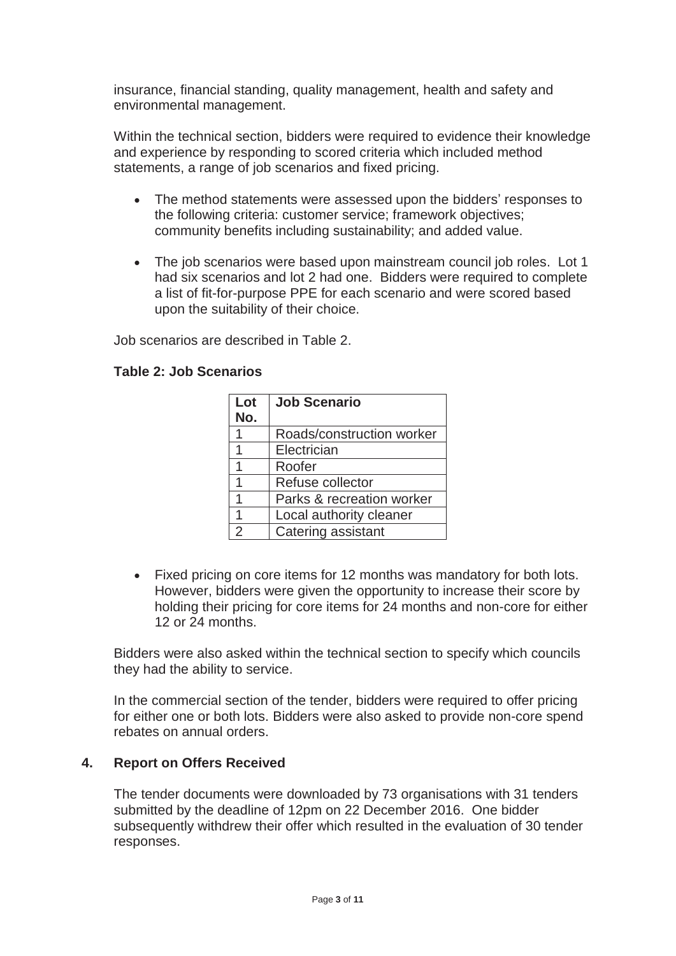insurance, financial standing, quality management, health and safety and environmental management.

Within the technical section, bidders were required to evidence their knowledge and experience by responding to scored criteria which included method statements, a range of job scenarios and fixed pricing.

- The method statements were assessed upon the bidders' responses to the following criteria: customer service; framework objectives; community benefits including sustainability; and added value.
- The job scenarios were based upon mainstream council job roles. Lot 1 had six scenarios and lot 2 had one. Bidders were required to complete a list of fit-for-purpose PPE for each scenario and were scored based upon the suitability of their choice.

Job scenarios are described in Table 2.

| <b>Table 2: Job Scenarios</b> |  |
|-------------------------------|--|
|-------------------------------|--|

| Lot<br>No.     | <b>Job Scenario</b>       |
|----------------|---------------------------|
|                | Roads/construction worker |
| 1              | Electrician               |
| 1              | Roofer                    |
| 1              | Refuse collector          |
| 1              | Parks & recreation worker |
| 1              | Local authority cleaner   |
| $\overline{2}$ | Catering assistant        |

• Fixed pricing on core items for 12 months was mandatory for both lots. However, bidders were given the opportunity to increase their score by holding their pricing for core items for 24 months and non-core for either 12 or 24 months.

Bidders were also asked within the technical section to specify which councils they had the ability to service.

In the commercial section of the tender, bidders were required to offer pricing for either one or both lots. Bidders were also asked to provide non-core spend rebates on annual orders.

## **4. Report on Offers Received**

The tender documents were downloaded by 73 organisations with 31 tenders submitted by the deadline of 12pm on 22 December 2016. One bidder subsequently withdrew their offer which resulted in the evaluation of 30 tender responses.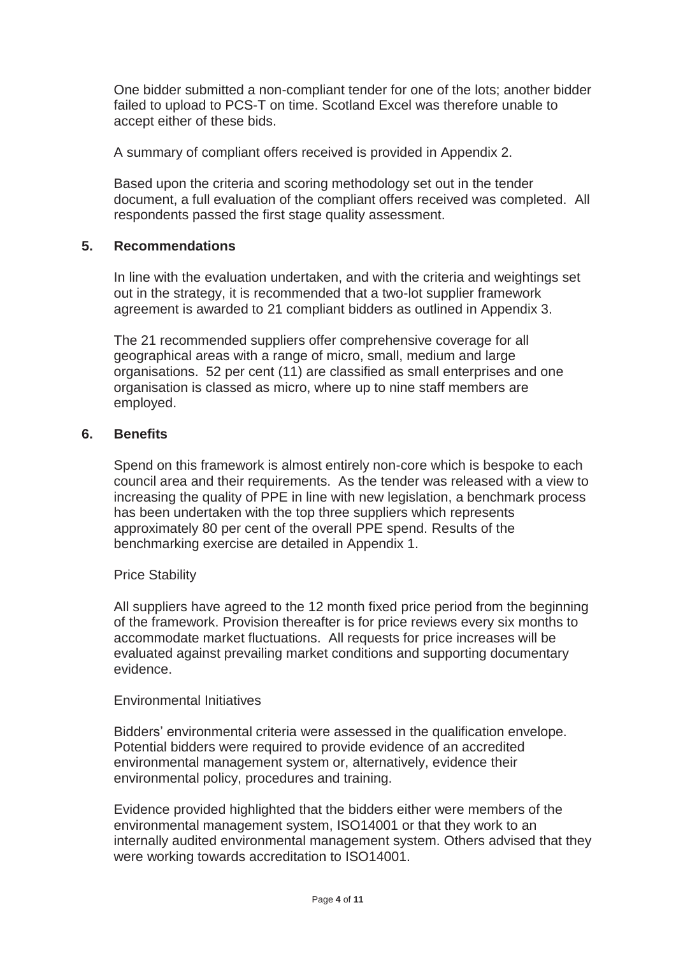One bidder submitted a non-compliant tender for one of the lots; another bidder failed to upload to PCS-T on time. Scotland Excel was therefore unable to accept either of these bids.

A summary of compliant offers received is provided in Appendix 2.

Based upon the criteria and scoring methodology set out in the tender document, a full evaluation of the compliant offers received was completed. All respondents passed the first stage quality assessment.

#### **5. Recommendations**

In line with the evaluation undertaken, and with the criteria and weightings set out in the strategy, it is recommended that a two-lot supplier framework agreement is awarded to 21 compliant bidders as outlined in Appendix 3.

The 21 recommended suppliers offer comprehensive coverage for all geographical areas with a range of micro, small, medium and large organisations. 52 per cent (11) are classified as small enterprises and one organisation is classed as micro, where up to nine staff members are employed.

#### **6. Benefits**

Spend on this framework is almost entirely non-core which is bespoke to each council area and their requirements. As the tender was released with a view to increasing the quality of PPE in line with new legislation, a benchmark process has been undertaken with the top three suppliers which represents approximately 80 per cent of the overall PPE spend. Results of the benchmarking exercise are detailed in Appendix 1.

#### Price Stability

All suppliers have agreed to the 12 month fixed price period from the beginning of the framework. Provision thereafter is for price reviews every six months to accommodate market fluctuations. All requests for price increases will be evaluated against prevailing market conditions and supporting documentary evidence.

#### Environmental Initiatives

Bidders' environmental criteria were assessed in the qualification envelope. Potential bidders were required to provide evidence of an accredited environmental management system or, alternatively, evidence their environmental policy, procedures and training.

Evidence provided highlighted that the bidders either were members of the environmental management system, ISO14001 or that they work to an internally audited environmental management system. Others advised that they were working towards accreditation to ISO14001.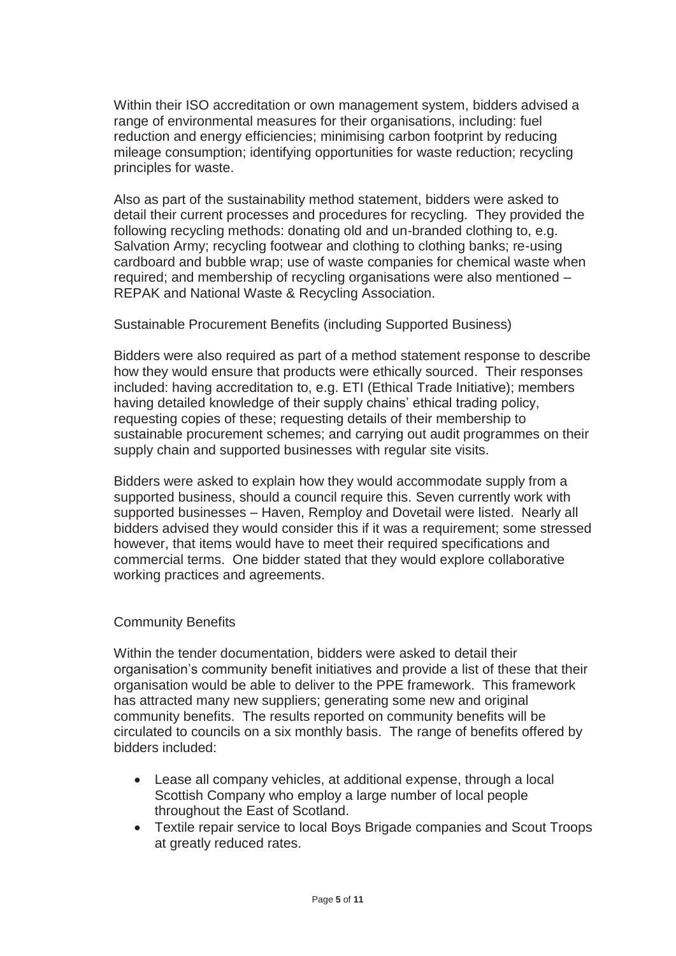Within their ISO accreditation or own management system, bidders advised a range of environmental measures for their organisations, including: fuel reduction and energy efficiencies; minimising carbon footprint by reducing mileage consumption; identifying opportunities for waste reduction; recycling principles for waste.

Also as part of the sustainability method statement, bidders were asked to detail their current processes and procedures for recycling. They provided the following recycling methods: donating old and un-branded clothing to, e.g. Salvation Army; recycling footwear and clothing to clothing banks; re-using cardboard and bubble wrap; use of waste companies for chemical waste when required; and membership of recycling organisations were also mentioned – REPAK and National Waste & Recycling Association.

## Sustainable Procurement Benefits (including Supported Business)

Bidders were also required as part of a method statement response to describe how they would ensure that products were ethically sourced. Their responses included: having accreditation to, e.g. ETI (Ethical Trade Initiative); members having detailed knowledge of their supply chains' ethical trading policy, requesting copies of these; requesting details of their membership to sustainable procurement schemes; and carrying out audit programmes on their supply chain and supported businesses with regular site visits.

Bidders were asked to explain how they would accommodate supply from a supported business, should a council require this. Seven currently work with supported businesses – Haven, Remploy and Dovetail were listed. Nearly all bidders advised they would consider this if it was a requirement; some stressed however, that items would have to meet their required specifications and commercial terms. One bidder stated that they would explore collaborative working practices and agreements.

## Community Benefits

Within the tender documentation, bidders were asked to detail their organisation's community benefit initiatives and provide a list of these that their organisation would be able to deliver to the PPE framework. This framework has attracted many new suppliers; generating some new and original community benefits. The results reported on community benefits will be circulated to councils on a six monthly basis. The range of benefits offered by bidders included:

- Lease all company vehicles, at additional expense, through a local Scottish Company who employ a large number of local people throughout the East of Scotland.
- Textile repair service to local Boys Brigade companies and Scout Troops at greatly reduced rates.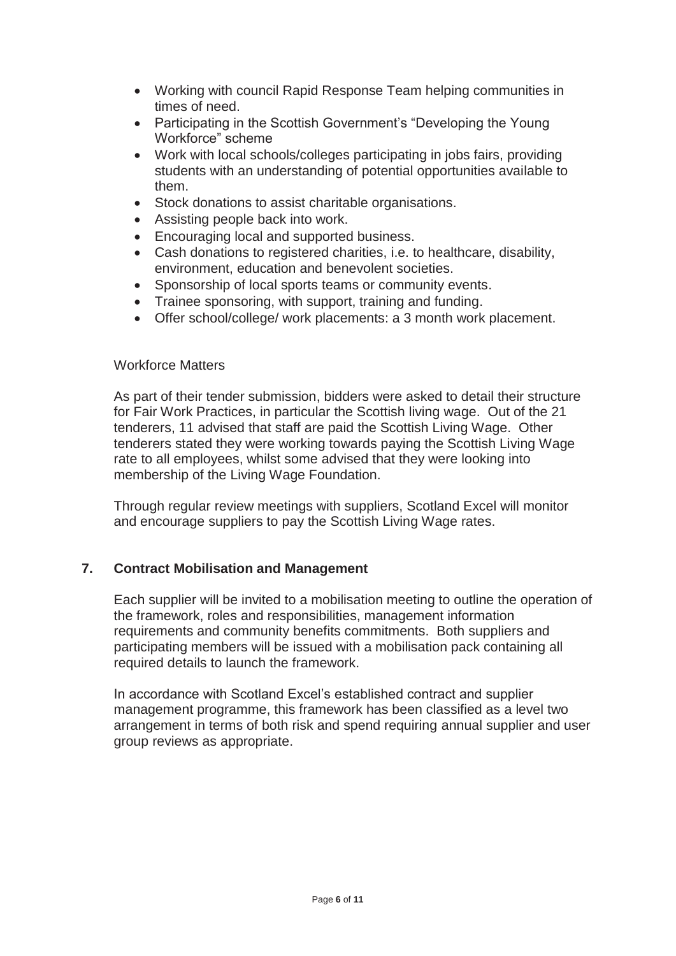- Working with council Rapid Response Team helping communities in times of need.
- Participating in the Scottish Government's "Developing the Young Workforce" scheme
- Work with local schools/colleges participating in jobs fairs, providing students with an understanding of potential opportunities available to them.
- Stock donations to assist charitable organisations.
- Assisting people back into work.
- Encouraging local and supported business.
- Cash donations to registered charities, i.e. to healthcare, disability, environment, education and benevolent societies.
- Sponsorship of local sports teams or community events.
- Trainee sponsoring, with support, training and funding.
- Offer school/college/ work placements: a 3 month work placement.

#### Workforce Matters

As part of their tender submission, bidders were asked to detail their structure for Fair Work Practices, in particular the Scottish living wage. Out of the 21 tenderers, 11 advised that staff are paid the Scottish Living Wage. Other tenderers stated they were working towards paying the Scottish Living Wage rate to all employees, whilst some advised that they were looking into membership of the Living Wage Foundation.

Through regular review meetings with suppliers, Scotland Excel will monitor and encourage suppliers to pay the Scottish Living Wage rates.

## **7. Contract Mobilisation and Management**

Each supplier will be invited to a mobilisation meeting to outline the operation of the framework, roles and responsibilities, management information requirements and community benefits commitments. Both suppliers and participating members will be issued with a mobilisation pack containing all required details to launch the framework.

In accordance with Scotland Excel's established contract and supplier management programme, this framework has been classified as a level two arrangement in terms of both risk and spend requiring annual supplier and user group reviews as appropriate.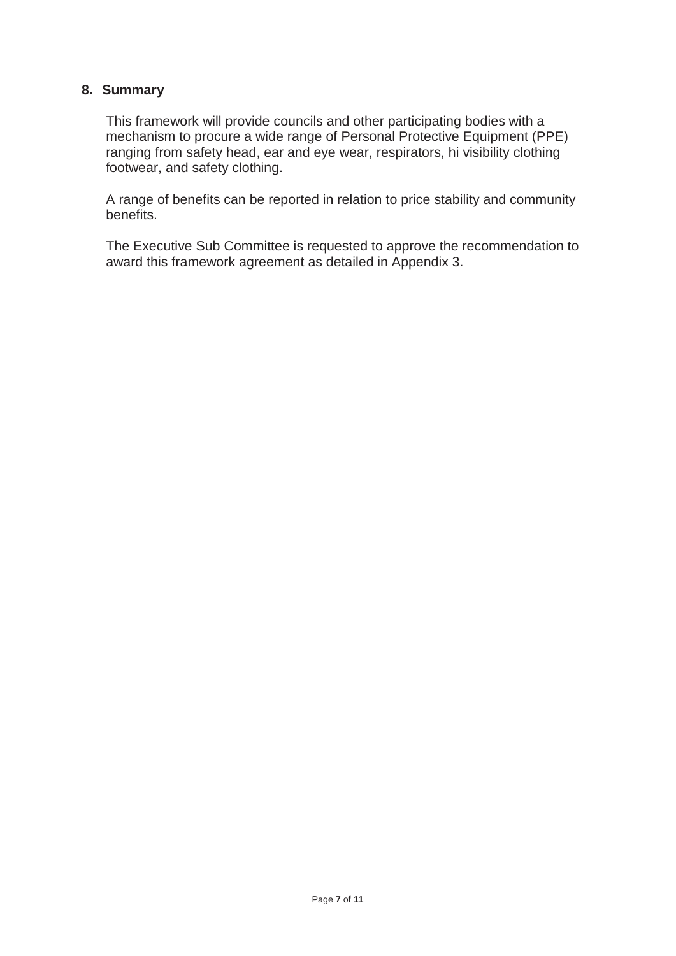## **8. Summary**

This framework will provide councils and other participating bodies with a mechanism to procure a wide range of Personal Protective Equipment (PPE) ranging from safety head, ear and eye wear, respirators, hi visibility clothing footwear, and safety clothing.

A range of benefits can be reported in relation to price stability and community benefits.

The Executive Sub Committee is requested to approve the recommendation to award this framework agreement as detailed in Appendix 3.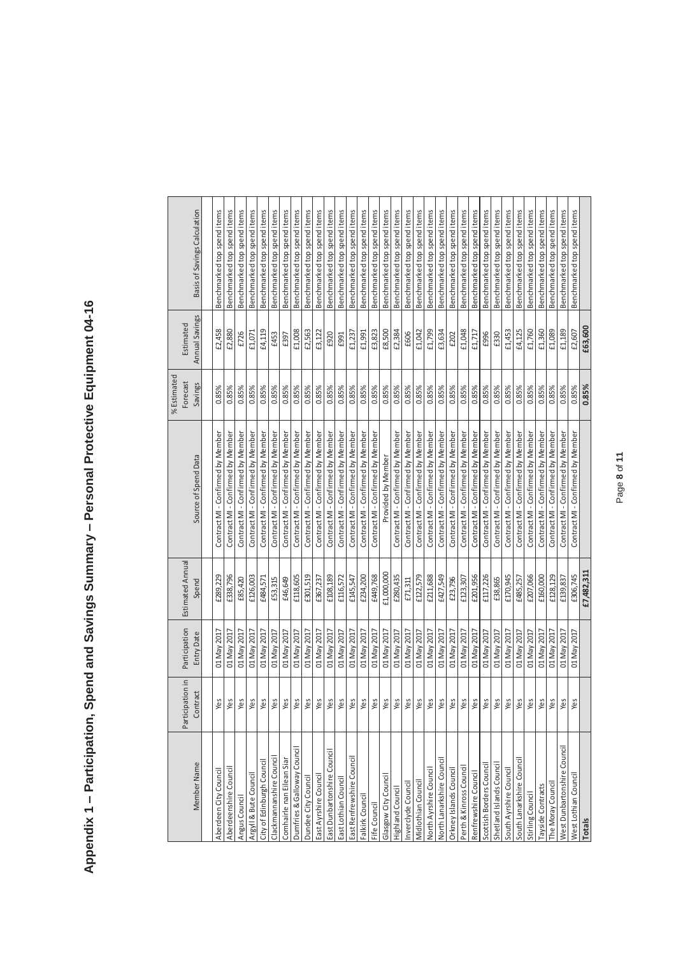| ֖֖֖֖֧֧֖֧֧֖֧֚֚֚֚֚֚֚֚֚֚֚֚֚֚֚֚֚֚֚֚֚֚֚֚֚֚֚֬֝֓֝֬֝֓֝֓<br>$\sim$ and collect $\sim$ |
|------------------------------------------------------------------------------|
|                                                                              |
| ĺ                                                                            |
|                                                                              |
|                                                                              |
|                                                                              |
|                                                                              |
| J                                                                            |
|                                                                              |
|                                                                              |
|                                                                              |
|                                                                              |
|                                                                              |
|                                                                              |
|                                                                              |
|                                                                              |
|                                                                              |
|                                                                              |
|                                                                              |
|                                                                              |
|                                                                              |
|                                                                              |
| ;<br>.                                                                       |
|                                                                              |
|                                                                              |
|                                                                              |
|                                                                              |
| Anner                                                                        |
|                                                                              |
|                                                                              |

|                             |                  |               |                    |                                   | % Estimated |                |                              |
|-----------------------------|------------------|---------------|--------------------|-----------------------------------|-------------|----------------|------------------------------|
|                             | Participation in | Participation | Estimated Annual   |                                   | Forecast    | Estimated      |                              |
| Member Name                 | Contract         | Entry Date    | Spend              | Source of Spend Data              | Savings     | Annual Savings | Basis of Savings Calculation |
|                             |                  |               |                    |                                   |             |                |                              |
| Aberdeen City Council       | δą               | 01 May 2017   | £289,229           | Contract MI - Confirmed by Member | 0.85%       | £2,458         | Benchmarked top spend items  |
| Aberdeenshire Counci        | $\frac{8}{9}$    | 01 May 2017   | £338,796           | Contract MI - Confirmed by Member | 0.85%       | £2,880         | Benchmarked top spend items  |
| Angus Council               | δ9               | 01 May 2017   | £85,420            | Contract MI - Confirmed by Member | 0.85%       | £726           | Benchmarked top spend items  |
| Argyll & Bute Council       | es.              | 01 May 2017   | £126,003           | Contract MI - Confirmed by Member | 0.85%       | £1,071         | Benchmarked top spend items  |
| City of Edinburgh Council   | $\infty$         | 01 May 2017   | £484,571           | Contract MI - Confirmed by Member | 0.85%       | £4,119         | Benchmarked top spend items  |
| Clackmannanshire Counci     | $\infty$         | 01 May 2017   | £53,315            | Contract MI - Confirmed by Member | 0.85%       | £453           | Benchmarked top spend items  |
| Comhairle nan Eilean Siar   | $\infty$         | 01 May 2017   | £46,649            | Contract MI - Confirmed by Member | 0.85%       | £397           | Benchmarked top spend items  |
| Dumfries & Galloway Council | $\infty$         | 01 May 2017   | £118,605           | Contract MI - Confirmed by Member | 0.85%       | £1,008         | Benchmarked top spend items  |
| Dundee City Counci          | δą               | 01 May 2017   | £301,519           | Contract MI - Confirmed by Member | 0.85%       | £2,563         | Benchmarked top spend items  |
| East Ayrshire Council       | $\frac{8}{9}$    | 01 May 2017   | £367,237           | Contract MI - Confirmed by Member | 0.85%       | £3,122         | Benchmarked top spend items  |
| East Dunbartonshire Counci  | es.              | 01 May 2017   | £108,189           | Contract MI - Confirmed by Member | 0.85%       | £920           | Benchmarked top spend items  |
| East Lothian Council        | $\infty$         | 01 May 2017   | £116,572           | Contract MI - Confirmed by Member | 0.85%       | £991           | Benchmarked top spend items  |
| East Renfrewshire Council   | $\frac{1}{9}$    | 01 May 2017   | £145,547           | Contract MI - Confirmed by Member | 0.85%       | £1,237         | Benchmarked top spend items  |
| Falkirk Council             | $\frac{1}{2}$    | 01 May 2017   | £234,200           | Contract MI - Confirmed by Member | 0.85%       | £1,991         | Benchmarked top spend items  |
| Fife Council                | $\infty$         | 01 May 2017   | £449,768           | Contract MI - Confirmed by Member | 0.85%       | £3,823         | Benchmarked top spend items  |
| Glasgow City Counci         | δŚ               | 01 May 2017   | £1,000,000         | Provided by Member                | 0.85%       | £8,500         | Benchmarked top spend items  |
| Highland Council            | $\mathcal{S}$    | 01 May 2017   | £280,435           | Contract MI - Confirmed by Member | 0.85%       | £2,384         | Benchmarked top spend items  |
| nverclyde Council           | $\infty$         | 01 May 2017   | $\textbf{f71,311}$ | Contract MI - Confirmed by Member | 0.85%       | £606           | Benchmarked top spend items  |
| Midlothian Council          | $\infty$         | 01 May 2017   | £122,579           | Contract MI - Confirmed by Member | 0.85%       | £1,042         | Benchmarked top spend items  |
| North Ayrshire Council      | $\Im$            | 01 May 2017   | £211,688           | Contract MI - Confirmed by Member | 0.85%       | £1,799         | Benchmarked top spend items  |
| North Lanarkshire Council   | $\frac{8}{9}$    | 01 May 2017   | £427,549           | Contract MI - Confirmed by Member | 0.85%       | £3,634         | Benchmarked top spend items  |
| Orkney Islands Council      | $\infty$         | 01 May 2017   | £23,796            | Contract MI - Confirmed by Member | 0.85%       | £202           | Benchmarked top spend items  |
| Perth & Kinross Counci      | $\frac{1}{2}$    | 01 May 2017   | £123,307           | Contract MI - Confirmed by Member | 0.85%       | £1,048         | Benchmarked top spend items  |
| Renfrewshire Council        | $\omega$         | 01 May 2017   | £201,956           | Contract MI - Confirmed by Member | 0.85%       | £1,717         | Benchmarked top spend items  |
| Scottish Borders Counci     | $\omega$         | 01 May 2017   | £117,226           | Contract MI - Confirmed by Member | 0.85%       | £996           | Benchmarked top spend items  |
| Shetland Islands Counci     | $\infty$         | 01 May 2017   | £38,865            | Contract MI - Confirmed by Member | 0.85%       | £330           | Benchmarked top spend items  |
| South Ayrshire Council      | es.              | 01 May 2017   | £170,945           | Contract MI - Confirmed by Member | 0.85%       | £1,453         | Benchmarked top spend items  |
| South Lanarkshire Council   | δĝ               | 01 May 2017   | £485,257           | Contract MI - Confirmed by Member | 0.85%       | £4,125         | Benchmarked top spend items  |
| Stirling Council            | ුය               | 01 May 2017   | £207,066           | Contract MI - Confirmed by Member | 0.85%       | £1,760         | Benchmarked top spend items  |
| <b>Tayside Contracts</b>    | $\frac{8}{9}$    | 01 May 2017   | £160,000           | Contract MI - Confirmed by Member | 0.85%       | £1,360         | Benchmarked top spend items  |
| The Moray Council           | es.              | 01 May 2017   | £128,129           | Contract MI - Confirmed by Member | 0.85%       | £1,089         | Benchmarked top spend items  |
| West Dunbartonshire Council | δą               | 01 May 2017   | £139,837           | Contract MI - Confirmed by Member | 0.85%       | £1,189         | Benchmarked top spend items  |
| <b>West Lothian Counci</b>  | δą               | 01 May 2017   | £306,745           | Contract MI - Confirmed by Member | 0.85%       | £2,607         | Benchmarked top spend items  |
| <b>Totals</b>               |                  |               | £7,482,311         |                                   | 0.85%       | £63,600        |                              |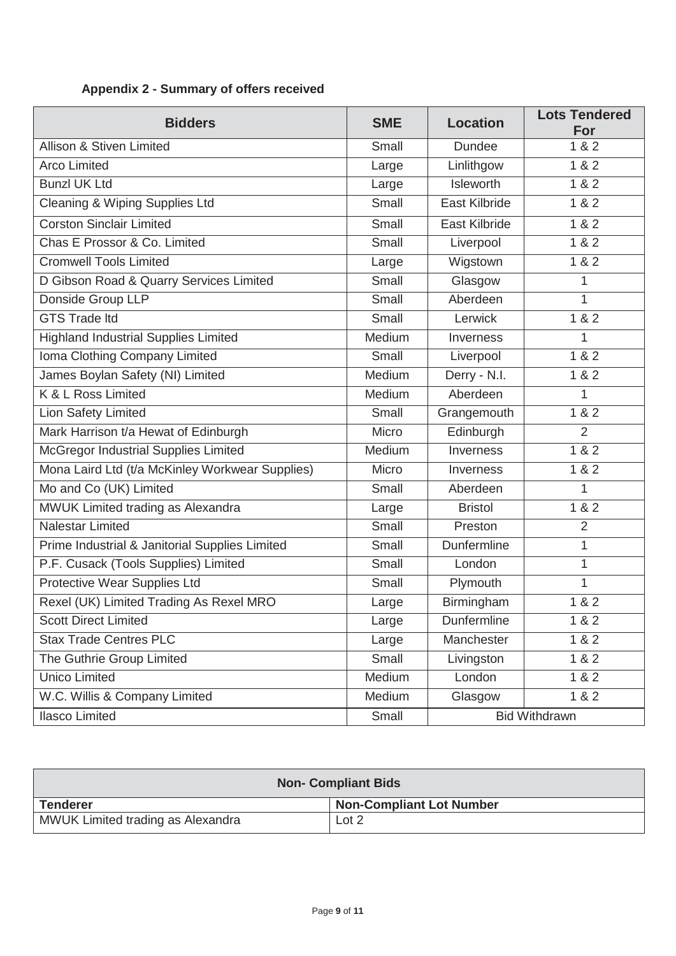| <b>Bidders</b>                                  | <b>SME</b> | <b>Location</b>  | <b>Lots Tendered</b><br>For |
|-------------------------------------------------|------------|------------------|-----------------------------|
| Allison & Stiven Limited                        | Small      | <b>Dundee</b>    | 1 & 2                       |
| <b>Arco Limited</b>                             | Large      | Linlithgow       | 1 & 2                       |
| <b>Bunzl UK Ltd</b>                             | Large      | Isleworth        | 1 & 2                       |
| Cleaning & Wiping Supplies Ltd                  | Small      | East Kilbride    | 1 & 2                       |
| <b>Corston Sinclair Limited</b>                 | Small      | East Kilbride    | 1 & 2                       |
| Chas E Prossor & Co. Limited                    | Small      | Liverpool        | 1 & 2                       |
| <b>Cromwell Tools Limited</b>                   | Large      | Wigstown         | 1 & 2                       |
| D Gibson Road & Quarry Services Limited         | Small      | Glasgow          | 1                           |
| Donside Group LLP                               | Small      | Aberdeen         | $\overline{1}$              |
| <b>GTS Trade Itd</b>                            | Small      | Lerwick          | 1 & 2                       |
| <b>Highland Industrial Supplies Limited</b>     | Medium     | Inverness        | 1                           |
| Ioma Clothing Company Limited                   | Small      | Liverpool        | 1 & 2                       |
| James Boylan Safety (NI) Limited                | Medium     | Derry - N.I.     | 1 & 2                       |
| K & L Ross Limited                              | Medium     | Aberdeen         | 1                           |
| <b>Lion Safety Limited</b>                      | Small      | Grangemouth      | 182                         |
| Mark Harrison t/a Hewat of Edinburgh            | Micro      | Edinburgh        | $\overline{2}$              |
| McGregor Industrial Supplies Limited            | Medium     | Inverness        | 1 & 2                       |
| Mona Laird Ltd (t/a McKinley Workwear Supplies) | Micro      | <b>Inverness</b> | 1 & 2                       |
| Mo and Co (UK) Limited                          | Small      | Aberdeen         | 1                           |
| MWUK Limited trading as Alexandra               | Large      | <b>Bristol</b>   | 1 & 2                       |
| Nalestar Limited                                | Small      | Preston          | $\overline{2}$              |
| Prime Industrial & Janitorial Supplies Limited  | Small      | Dunfermline      | 1                           |
| P.F. Cusack (Tools Supplies) Limited            | Small      | London           | 1                           |
| Protective Wear Supplies Ltd                    | Small      | Plymouth         | 1                           |
| Rexel (UK) Limited Trading As Rexel MRO         | Large      | Birmingham       | 1 & 2                       |
| <b>Scott Direct Limited</b>                     | Large      | Dunfermline      | 1 & 2                       |
| <b>Stax Trade Centres PLC</b>                   | Large      | Manchester       | 1 & 2                       |
| The Guthrie Group Limited                       | Small      | Livingston       | 1 & 2                       |
| <b>Unico Limited</b>                            | Medium     | London           | 1 & 2                       |
| W.C. Willis & Company Limited                   | Medium     | Glasgow          | 1 & 2                       |
| <b>Ilasco Limited</b>                           | Small      |                  | <b>Bid Withdrawn</b>        |

## **Appendix 2 - Summary of offers received**

| <b>Non- Compliant Bids</b>        |                                 |  |  |  |
|-----------------------------------|---------------------------------|--|--|--|
| <b>Tenderer</b>                   | <b>Non-Compliant Lot Number</b> |  |  |  |
| MWUK Limited trading as Alexandra | Lot 2                           |  |  |  |